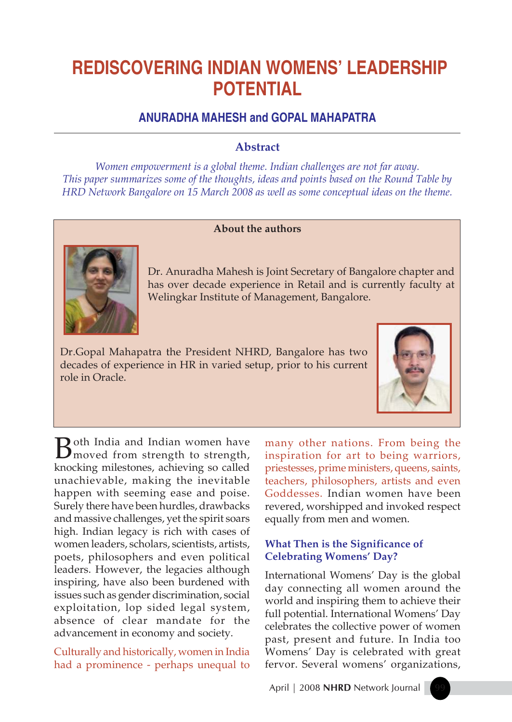# **REDISCOVERING INDIAN WOMENS' LEADERSHIP POTENTIAL**

# **ANURADHA MAHESH and GOPAL MAHAPATRA**

## **Abstract**

*Women empowerment is a global theme. Indian challenges are not far away. This paper summarizes some of the thoughts, ideas and points based on the Round Table by HRD Network Bangalore on 15 March 2008 as well as some conceptual ideas on the theme.*

#### **About the authors**



Dr. Anuradha Mahesh is Joint Secretary of Bangalore chapter and has over decade experience in Retail and is currently faculty at Welingkar Institute of Management, Bangalore.

Dr.Gopal Mahapatra the President NHRD, Bangalore has two decades of experience in HR in varied setup, prior to his current role in Oracle.



**B** oth India and Indian women have<br>lmoved from strength to strength,<br>lmogling milestance, ashiguing as called  $\Box$  oth India and Indian women have knocking milestones, achieving so called unachievable, making the inevitable happen with seeming ease and poise. Surely there have been hurdles, drawbacks and massive challenges, yet the spirit soars high. Indian legacy is rich with cases of women leaders, scholars, scientists, artists, poets, philosophers and even political leaders. However, the legacies although inspiring, have also been burdened with issues such as gender discrimination, social exploitation, lop sided legal system, absence of clear mandate for the advancement in economy and society.

Culturally and historically, women in India had a prominence - perhaps unequal to

many other nations. From being the inspiration for art to being warriors, priestesses, prime ministers, queens, saints, teachers, philosophers, artists and even Goddesses. Indian women have been revered, worshipped and invoked respect equally from men and women.

## **What Then is the Significance of Celebrating Womens' Day?**

International Womens' Day is the global day connecting all women around the world and inspiring them to achieve their full potential. International Womens' Day celebrates the collective power of women past, present and future. In India too Womens' Day is celebrated with great fervor. Several womens' organizations,

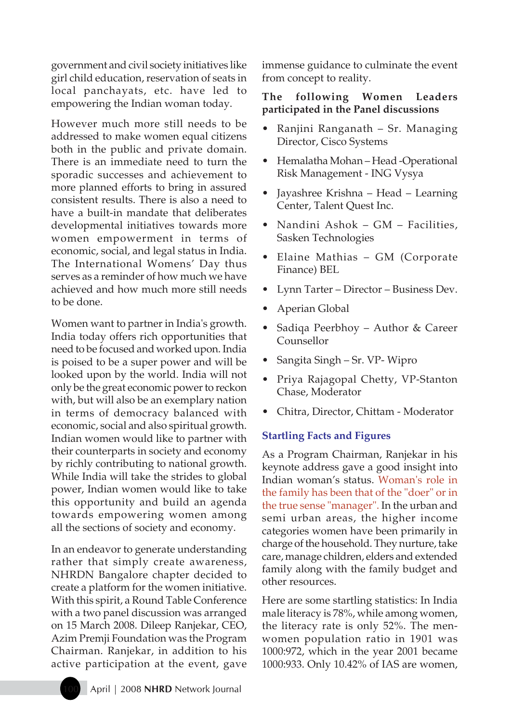government and civil society initiatives like girl child education, reservation of seats in local panchayats, etc. have led to empowering the Indian woman today.

However much more still needs to be addressed to make women equal citizens both in the public and private domain. There is an immediate need to turn the sporadic successes and achievement to more planned efforts to bring in assured consistent results. There is also a need to have a built-in mandate that deliberates developmental initiatives towards more women empowerment in terms of economic, social, and legal status in India. The International Womens' Day thus serves as a reminder of how much we have achieved and how much more still needs to be done.

Women want to partner in India's growth. India today offers rich opportunities that need to be focused and worked upon. India is poised to be a super power and will be looked upon by the world. India will not only be the great economic power to reckon with, but will also be an exemplary nation in terms of democracy balanced with economic, social and also spiritual growth. Indian women would like to partner with their counterparts in society and economy by richly contributing to national growth. While India will take the strides to global power, Indian women would like to take this opportunity and build an agenda towards empowering women among all the sections of society and economy.

In an endeavor to generate understanding rather that simply create awareness, NHRDN Bangalore chapter decided to create a platform for the women initiative. With this spirit, a Round Table Conference with a two panel discussion was arranged on 15 March 2008. Dileep Ranjekar, CEO, Azim Premji Foundation was the Program Chairman. Ranjekar, in addition to his active participation at the event, gave immense guidance to culminate the event from concept to reality.

#### **The following Women Leaders participated in the Panel discussions**

- Ranjini Ranganath Sr. Managing Director, Cisco Systems
- Hemalatha Mohan Head -Operational Risk Management - ING Vysya
- Jayashree Krishna Head Learning Center, Talent Quest Inc.
- Nandini Ashok GM Facilities, Sasken Technologies
- Elaine Mathias GM (Corporate Finance) BEL
- Lynn Tarter Director Business Dev.
- Aperian Global
- Sadiqa Peerbhoy Author & Career Counsellor
- Sangita Singh Sr. VP- Wipro
- Priya Rajagopal Chetty, VP-Stanton Chase, Moderator
- ï Chitra, Director, Chittam Moderator

#### **Startling Facts and Figures**

As a Program Chairman, Ranjekar in his keynote address gave a good insight into Indian woman's status. Woman's role in the family has been that of the "doer" or in the true sense "manager". In the urban and semi urban areas, the higher income categories women have been primarily in charge of the household. They nurture, take care, manage children, elders and extended family along with the family budget and other resources.

Here are some startling statistics: In India male literacy is 78%, while among women, the literacy rate is only 52%. The menwomen population ratio in 1901 was 1000:972, which in the year 2001 became 1000:933. Only 10.42% of IAS are women,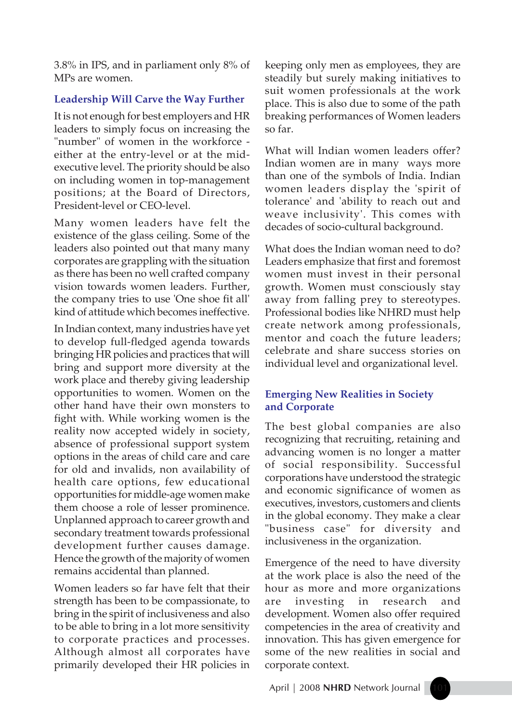3.8% in IPS, and in parliament only 8% of MPs are women.

## **Leadership Will Carve the Way Further**

It is not enough for best employers and HR leaders to simply focus on increasing the "number" of women in the workforce either at the entry-level or at the midexecutive level. The priority should be also on including women in top-management positions; at the Board of Directors, President-level or CEO-level.

Many women leaders have felt the existence of the glass ceiling. Some of the leaders also pointed out that many many corporates are grappling with the situation as there has been no well crafted company vision towards women leaders. Further, the company tries to use 'One shoe fit all' kind of attitude which becomes ineffective.

In Indian context, many industries have yet to develop full-fledged agenda towards bringing HR policies and practices that will bring and support more diversity at the work place and thereby giving leadership opportunities to women. Women on the other hand have their own monsters to fight with. While working women is the reality now accepted widely in society, absence of professional support system options in the areas of child care and care for old and invalids, non availability of health care options, few educational opportunities for middle-age women make them choose a role of lesser prominence. Unplanned approach to career growth and secondary treatment towards professional development further causes damage. Hence the growth of the majority of women remains accidental than planned.

Women leaders so far have felt that their strength has been to be compassionate, to bring in the spirit of inclusiveness and also to be able to bring in a lot more sensitivity to corporate practices and processes. Although almost all corporates have primarily developed their HR policies in keeping only men as employees, they are steadily but surely making initiatives to suit women professionals at the work place. This is also due to some of the path breaking performances of Women leaders so far.

What will Indian women leaders offer? Indian women are in many ways more than one of the symbols of India. Indian women leaders display the 'spirit of tolerance' and 'ability to reach out and weave inclusivity'. This comes with decades of socio-cultural background.

What does the Indian woman need to do? Leaders emphasize that first and foremost women must invest in their personal growth. Women must consciously stay away from falling prey to stereotypes. Professional bodies like NHRD must help create network among professionals, mentor and coach the future leaders; celebrate and share success stories on individual level and organizational level.

## **Emerging New Realities in Society and Corporate**

The best global companies are also recognizing that recruiting, retaining and advancing women is no longer a matter of social responsibility. Successful corporations have understood the strategic and economic significance of women as executives, investors, customers and clients in the global economy. They make a clear "business case" for diversity and inclusiveness in the organization.

Emergence of the need to have diversity at the work place is also the need of the hour as more and more organizations are investing in research and development. Women also offer required competencies in the area of creativity and innovation. This has given emergence for some of the new realities in social and corporate context.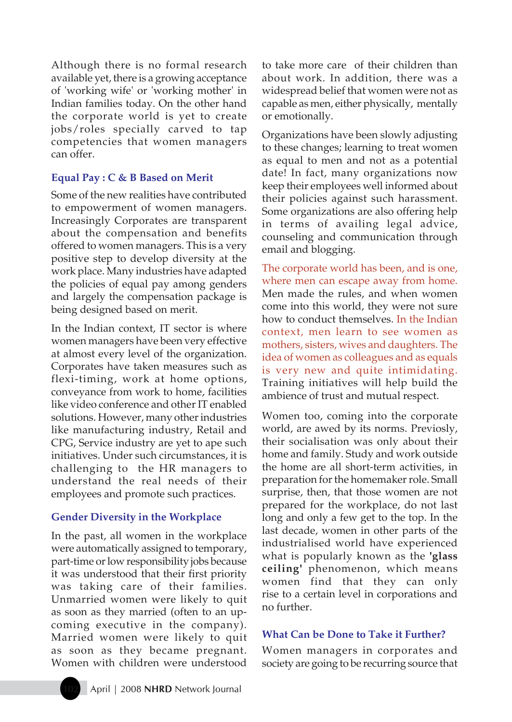Although there is no formal research available yet, there is a growing acceptance of 'working wife' or 'working mother' in Indian families today. On the other hand the corporate world is yet to create jobs/roles specially carved to tap competencies that women managers can offer.

#### **Equal Pay : C & B Based on Merit**

Some of the new realities have contributed to empowerment of women managers. Increasingly Corporates are transparent about the compensation and benefits offered to women managers. This is a very positive step to develop diversity at the work place. Many industries have adapted the policies of equal pay among genders and largely the compensation package is being designed based on merit.

In the Indian context, IT sector is where women managers have been very effective at almost every level of the organization. Corporates have taken measures such as flexi-timing, work at home options, conveyance from work to home, facilities like video conference and other IT enabled solutions. However, many other industries like manufacturing industry, Retail and CPG, Service industry are yet to ape such initiatives. Under such circumstances, it is challenging to the HR managers to understand the real needs of their employees and promote such practices.

## **Gender Diversity in the Workplace**

In the past, all women in the workplace were automatically assigned to temporary, part-time or low responsibility jobs because it was understood that their first priority was taking care of their families. Unmarried women were likely to quit as soon as they married (often to an upcoming executive in the company). Married women were likely to quit as soon as they became pregnant. Women with children were understood

to take more care of their children than about work. In addition, there was a widespread belief that women were not as capable as men, either physically, mentally or emotionally.

Organizations have been slowly adjusting to these changes; learning to treat women as equal to men and not as a potential date! In fact, many organizations now keep their employees well informed about their policies against such harassment. Some organizations are also offering help in terms of availing legal advice, counseling and communication through email and blogging.

The corporate world has been, and is one, where men can escape away from home. Men made the rules, and when women come into this world, they were not sure how to conduct themselves. In the Indian context, men learn to see women as mothers, sisters, wives and daughters. The idea of women as colleagues and as equals is very new and quite intimidating. Training initiatives will help build the ambience of trust and mutual respect.

Women too, coming into the corporate world, are awed by its norms. Previosly, their socialisation was only about their home and family. Study and work outside the home are all short-term activities, in preparation for the homemaker role. Small surprise, then, that those women are not prepared for the workplace, do not last long and only a few get to the top. In the last decade, women in other parts of the industrialised world have experienced what is popularly known as the **'glass ceiling'** phenomenon, which means women find that they can only rise to a certain level in corporations and no further.

## **What Can be Done to Take it Further?**

Women managers in corporates and society are going to be recurring source that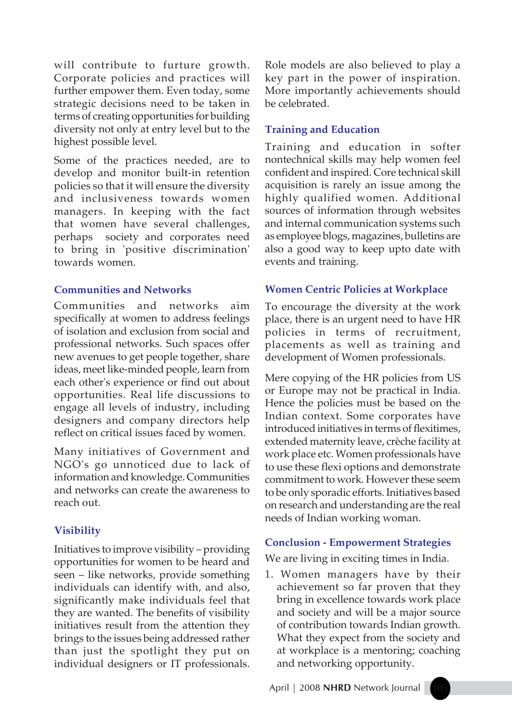will contribute to furture growth. Corporate policies and practices will further empower them. Even today, some strategic decisions need to be taken in terms of creating opportunities for building diversity not only at entry level but to the highest possible level.

Some of the practices needed, are to develop and monitor built-in retention policies so that it will ensure the diversity and inclusiveness towards women managers. In keeping with the fact that women have several challenges, perhaps society and corporates need to bring in 'positive discrimination' towards women.

#### **Communities and Networks**

Communities and networks aim specifically at women to address feelings of isolation and exclusion from social and professional networks. Such spaces offer new avenues to get people together, share ideas, meet like-minded people, learn from each other's experience or find out about opportunities. Real life discussions to engage all levels of industry, including designers and company directors help reflect on critical issues faced by women.

Many initiatives of Government and NGO's go unnoticed due to lack of information and knowledge. Communities and networks can create the awareness to reach out.

# **Visibility**

Initiatives to improve visibility – providing opportunities for women to be heard and seen – like networks, provide something individuals can identify with, and also, significantly make individuals feel that they are wanted. The benefits of visibility initiatives result from the attention they brings to the issues being addressed rather than just the spotlight they put on individual designers or IT professionals. Role models are also believed to play a key part in the power of inspiration. More importantly achievements should be celebrated.

# **Training and Education**

Training and education in softer nontechnical skills may help women feel confident and inspired. Core technical skill acquisition is rarely an issue among the highly qualified women. Additional sources of information through websites and internal communication systems such as employee blogs, magazines, bulletins are also a good way to keep upto date with events and training.

## **Women Centric Policies at Workplace**

To encourage the diversity at the work place, there is an urgent need to have HR policies in terms of recruitment, placements as well as training and development of Women professionals.

Mere copying of the HR policies from US or Europe may not be practical in India. Hence the policies must be based on the Indian context. Some corporates have introduced initiatives in terms of flexitimes, extended maternity leave, crèche facility at work place etc. Women professionals have to use these flexi options and demonstrate commitment to work. However these seem to be only sporadic efforts. Initiatives based on research and understanding are the real needs of Indian working woman.

# **Conclusion - Empowerment Strategies**

We are living in exciting times in India.

1. Women managers have by their achievement so far proven that they bring in excellence towards work place and society and will be a major source of contribution towards Indian growth. What they expect from the society and at workplace is a mentoring; coaching and networking opportunity.